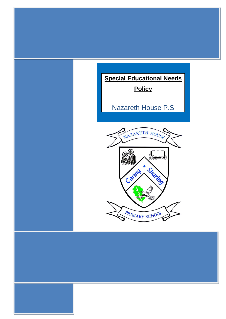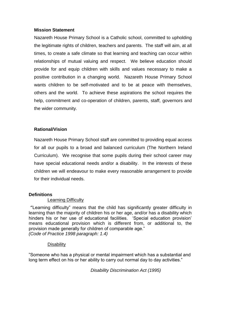### **Mission Statement**

Nazareth House Primary School is a Catholic school, committed to upholding the legitimate rights of children, teachers and parents. The staff will aim, at all times, to create a safe climate so that learning and teaching can occur within relationships of mutual valuing and respect. We believe education should provide for and equip children with skills and values necessary to make a positive contribution in a changing world. Nazareth House Primary School wants children to be self-motivated and to be at peace with themselves, others and the world. To achieve these aspirations the school requires the help, commitment and co-operation of children, parents, staff, governors and the wider community.

### **Rational/Vision**

Nazareth House Primary School staff are committed to providing equal access for all our pupils to a broad and balanced curriculum (The Northern Ireland Curriculum). We recognise that some pupils during their school career may have special educational needs and/or a disability. In the interests of these children we will endeavour to make every reasonable arrangement to provide for their individual needs.

#### **Definitions**

#### Learning Difficulty

*"*'Learning difficulty" means that the child has significantly greater difficulty in learning than the majority of children his or her age, and/or has a disability which hinders his or her use of educational facilities. 'Special education provision' means educational provision which is different from, or additional to, the provision made generally for children of comparable age." *(Code of Practice 1998 paragraph: 1.4)*

#### **Disability**

"Someone who has a physical or mental impairment which has a substantial and long term effect on his or her ability to carry out normal day to day activities."

*Disability Discrimination Act (1995)*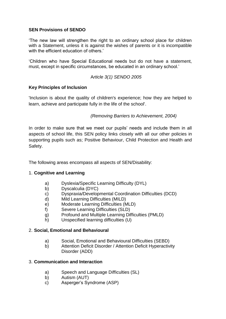## **SEN Provisions of SENDO**

'The new law will strengthen the right to an ordinary school place for children with a Statement, unless it is against the wishes of parents or it is incompatible with the efficient education of others.'

'Children who have Special Educational needs but do not have a statement, must, except in specific circumstances, be educated in an ordinary school.'

## A*rticle 3(1) SENDO 2005*

## **Key Principles of Inclusion**

'Inclusion is about the quality of children's experience; how they are helped to learn, achieve and participate fully in the life of the school'.

## *(Removing Barriers to Achievement, 2004)*

In order to make sure that we meet our pupils' needs and include them in all aspects of school life, this SEN policy links closely with all our other policies in supporting pupils such as; Positive Behaviour, Child Protection and Health and Safety.

The following areas encompass all aspects of SEN/Disability:

## 1. **Cognitive and Learning**

- a) Dyslexia/Specific Learning Difficulty (DYL)
- b) Dyscalculia (DYC)
- c) Dyspraxia/Developmental Coordination Difficulties (DCD)
- d) Mild Learning Difficulties (MILD)
- e) Moderate Learning Difficulties (MLD)
- f) Severe Learning Difficulties (SLD)
- g) Profound and Multiple Learning Difficulties (PMLD)
- h) Unspecified learning difficulties (U)

### 2. **Social, Emotional and Behavioural**

- a) Social, Emotional and Behavioural Difficulties (SEBD)
- b) Attention Deficit Disorder / Attention Deficit Hyperactivity Disorder (ADD)

### 3. **Communication and Interaction**

- a) Speech and Language Difficulties (SL)
- b) Autism (AUT)
- c) Asperger's Syndrome (ASP)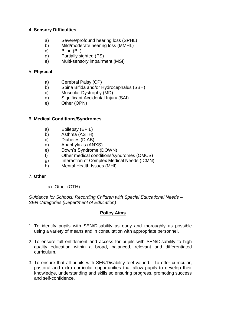## 4. **Sensory Difficulties**

- a) Severe/profound hearing loss (SPHL)
- b) Mild/moderate hearing loss (MMHL)
- c) Blind (BL)
- d) Partially sighted (PS)
- e) Multi-sensory impairment (MSI)

## 5. **Physical**

- a) Cerebral Palsy (CP)
- b) Spina Bifida and/or Hydrocephalus (SBH)
- c) Muscular Dystrophy (MD)
- d) Significant Accidental Injury (SAI)
- e) Other (OPN)

## 6. **Medical Conditions/Syndromes**

- a) Epilepsy (EPIL)
- b) Asthma (ASTH)
- c) Diabetes (DIAB)
- d) Anaphylaxis (ANXS)
- e) Down's Syndrome (DOWN)
- f) Other medical conditions/syndromes (OMCS)
- g) Interaction of Complex Medical Needs (ICMN)
- h) Mental Health Issues (MHI)

### 7. **Other**

a) Other (OTH)

*Guidance for Schools: Recording Children with Special Educational Needs – SEN Categories (Department of Education)*

### **Policy Aims**

- 1. To identify pupils with SEN/Disability as early and thoroughly as possible using a variety of means and in consultation with appropriate personnel.
- 2. To ensure full entitlement and access for pupils with SEN/Disability to high quality education within a broad, balanced, relevant and differentiated curriculum.
- 3. To ensure that all pupils with SEN/Disability feel valued. To offer curricular, pastoral and extra curricular opportunities that allow pupils to develop their knowledge, understanding and skills so ensuring progress, promoting success and self-confidence.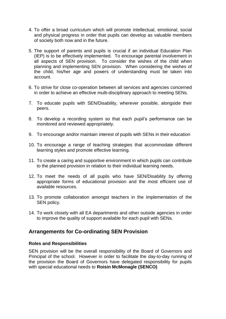- 4. To offer a broad curriculum which will promote intellectual, emotional, social and physical progress in order that pupils can develop as valuable members of society both now and in the future.
- 5. The support of parents and pupils is crucial if an individual Education Plan (IEP) is to be effectively implemented. To encourage parental involvement in all aspects of SEN provision. To consider the wishes of the child when planning and implementing SEN provision. When considering the wishes of the child, his/her age and powers of understanding must be taken into account.
- 6. To strive for close co-operation between all services and agencies concerned in order to achieve an effective multi-disciplinary approach to meeting SENs.
- 7. To educate pupils with SEN/Disability, wherever possible, alongside their peers.
- 8. To develop a recording system so that each pupil's performance can be monitored and reviewed appropriately.
- 9. To encourage and/or maintain interest of pupils with SENs in their education
- 10. To encourage a range of teaching strategies that accommodate different learning styles and promote effective learning.
- 11. To create a caring and supportive environment in which pupils can contribute to the planned provision in relation to their individual learning needs.
- 12. To meet the needs of all pupils who have SEN/Disability by offering appropriate forms of educational provision and the most efficient use of available resources.
- 13. To promote collaboration amongst teachers in the implementation of the SEN policy.
- 14. To work closely with all EA departments and other outside agencies in order to improve the quality of support available for each pupil with SENs.

# **Arrangements for Co-ordinating SEN Provision**

### **Roles and Responsibilities**

SEN provision will be the overall responsibility of the Board of Governors and Principal of the school. However in order to facilitate the day-to-day running of the provision the Board of Governors have delegated responsibility for pupils with special educational needs to **Roisin McMonagle (SENCO)**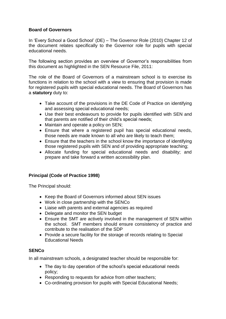## **Board of Governors**

In 'Every School a Good School' (DE) – The Governor Role (2010) Chapter 12 of the document relates specifically to the Governor role for pupils with special educational needs.

The following section provides an overview of Governor's responsibilities from this document as highlighted in the SEN Resource File, 2011:

The role of the Board of Governors of a mainstream school is to exercise its functions in relation to the school with a view to ensuring that provision is made for registered pupils with special educational needs. The Board of Governors has a **statutory** duty to:

- Take account of the provisions in the DE Code of Practice on identifying and assessing special educational needs;
- Use their best endeavours to provide for pupils identified with SEN and that parents are notified of their child's special needs;
- Maintain and operate a policy on SEN;
- Ensure that where a registered pupil has special educational needs, those needs are made known to all who are likely to teach them;
- Ensure that the teachers in the school know the importance of identifying those registered pupils with SEN and of providing appropriate teaching;
- Allocate funding for special educational needs and disability; and prepare and take forward a written accessibility plan.

## **Principal (Code of Practice 1998)**

The Principal should:

- Keep the Board of Governors informed about SEN issues
- Work in close partnership with the SENCo
- Liaise with parents and external agencies as required
- Delegate and monitor the SEN budget
- Ensure the SMT are actively involved in the management of SEN within the school. SMT members should ensure consistency of practice and contribute to the realisation of the SDP
- Provide a secure facility for the storage of records relating to Special Educational Needs

### **SENCo**

In all mainstream schools, a designated teacher should be responsible for:

- The day to day operation of the school's special educational needs policy;
- Responding to requests for advice from other teachers;
- Co-ordinating provision for pupils with Special Educational Needs;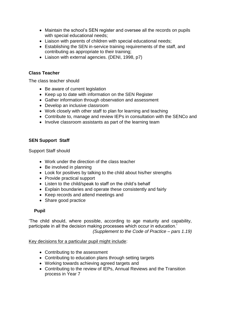- Maintain the school's SEN register and oversee all the records on pupils with special educational needs;
- Liaison with parents of children with special educational needs;
- Establishing the SEN in-service training requirements of the staff, and contributing as appropriate to their training;
- Liaison with external agencies. (DENI, 1998, p7)

### **Class Teacher**

The class teacher should

- Be aware of current legislation
- Keep up to date with information on the SEN Register
- Gather information through observation and assessment
- Develop an inclusive classroom
- Work closely with other staff to plan for learning and teaching
- Contribute to, manage and review IEPs in consultation with the SENCo and
- Involve classroom assistants as part of the learning team

## **SEN Support Staff**

Support Staff should

- Work under the direction of the class teacher
- Be involved in planning
- Look for positives by talking to the child about his/her strengths
- Provide practical support
- Listen to the child/speak to staff on the child's behalf
- Explain boundaries and operate these consistently and fairly
- Keep records and attend meetings and
- Share good practice

### **Pupil**

'The child should, where possible, according to age maturity and capability, participate in all the decision making processes which occur in education.' *(Supplement to the Code of Practice – pars 1.19)* 

Key decisions for a particular pupil might include:

- Contributing to the assessment
- Contributing to education plans through setting targets
- Working towards achieving agreed targets and
- Contributing to the review of IEPs, Annual Reviews and the Transition process in Year 7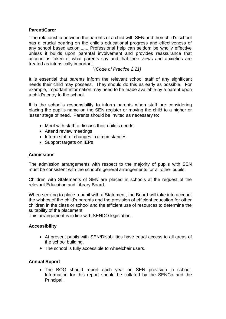## **Parent/Carer**

'The relationship between the parents of a child with SEN and their child's school has a crucial bearing on the child's educational progress and effectiveness of any school based action....... Professional help can seldom be wholly effective unless it builds upon parental involvement and provides reassurance that account is taken of what parents say and that their views and anxieties are treated as intrinsically important.

'*(Code of Practice 2.21)*

It is essential that parents inform the relevant school staff of any significant needs their child may possess. They should do this as early as possible. For example, important information may need to be made available by a parent upon a child's entry to the school.

It is the school's responsibility to inform parents when staff are considering placing the pupil's name on the SEN register or moving the child to a higher or lesser stage of need. Parents should be invited as necessary to:

- Meet with staff to discuss their child's needs
- Attend review meetings
- Inform staff of changes in circumstances
- Support targets on IEPs

### **Admissions**

The admission arrangements with respect to the majority of pupils with SEN must be consistent with the school's general arrangements for all other pupils.

Children with Statements of SEN are placed in schools at the request of the relevant Education and Library Board.

When seeking to place a pupil with a Statement, the Board will take into account the wishes of the child's parents and the provision of efficient education for other children in the class or school and the efficient use of resources to determine the suitability of the placement.

This arrangement is in line with SENDO legislation.

### **Accessibility**

- At present pupils with SEN/Disabilities have equal access to all areas of the school building.
- The school is fully accessible to wheelchair users.

### **Annual Report**

 The BOG should report each year on SEN provision in school. Information for this report should be collated by the SENCo and the Principal.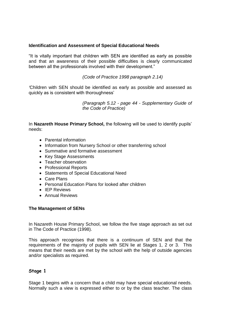## **Identification and Assessment of Special Educational Needs**

"It is vitally important that children with SEN are identified as early as possible and that an awareness of their possible difficulties is clearly communicated between all the professionals involved with their development."

*(Code of Practice 1998 paragraph 2.14)*

*'*Children with SEN should be identified as early as possible and assessed as quickly as is consistent with thoroughness'

> *(Paragraph 5.12 - page 44 - Supplementary Guide of the Code of Practice)*

In **Nazareth House Primary School,** the following will be used to identify pupils' needs:

- Parental information
- Information from Nursery School or other transferring school
- Summative and formative assessment
- Key Stage Assessments
- Teacher observation
- Professional Reports
- Statements of Special Educational Need
- Care Plans
- Personal Education Plans for looked after children
- IFP Reviews
- Annual Reviews

#### **The Management of SENs**

In Nazareth House Primary School, we follow the five stage approach as set out in The Code of Practice (1998).

This approach recognises that there is a continuum of SEN and that the requirements of the majority of pupils with SEN lie at Stages 1, 2 or 3. This means that their needs are met by the school with the help of outside agencies and/or specialists as required.

### **Stage 1**

Stage 1 begins with a concern that a child may have special educational needs. Normally such a view is expressed either to or by the class teacher. The class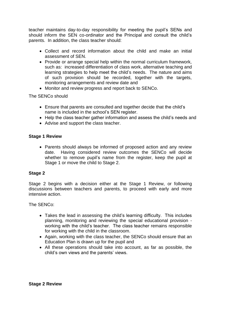teacher maintains day-to-day responsibility for meeting the pupil's SENs and should inform the SEN co-ordinator and the Principal and consult the child's parents. In addition, the class teacher should:

- Collect and record information about the child and make an initial assessment of SEN.
- Provide or arrange special help within the normal curriculum framework, such as: increased differentiation of class work, alternative teaching and learning strategies to help meet the child's needs. The nature and aims of such provision should be recorded, together with the targets, monitoring arrangements and review date and
- Monitor and review progress and report back to SENCo.

The SENCo should

- Ensure that parents are consulted and together decide that the child's name is included in the school's SEN register.
- Help the class teacher gather information and assess the child's needs and
- Advise and support the class teacher.

### **Stage 1 Review**

• Parents should always be informed of proposed action and any review date. Having considered review outcomes the SENCo will decide whether to remove pupil's name from the register, keep the pupil at Stage 1 or move the child to Stage 2.

### **Stage 2**

Stage 2 begins with a decision either at the Stage 1 Review, or following discussions between teachers and parents, to proceed with early and more intensive action.

The SENCo:

- Takes the lead in assessing the child's learning difficulty. This includes planning, monitoring and reviewing the special educational provision working with the child's teacher. The class teacher remains responsible for working with the child in the classroom.
- Again, working with the class teacher, the SENCo should ensure that an Education Plan is drawn up for the pupil and
- All these operations should take into account, as far as possible, the child's own views and the parents' views.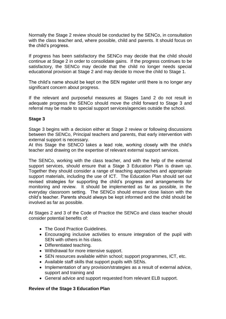Normally the Stage 2 review should be conducted by the SENCo, in consultation with the class teacher and, where possible, child and parents. It should focus on the child's progress.

If progress has been satisfactory the SENCo may decide that the child should continue at Stage 2 in order to consolidate gains. If the progress continues to be satisfactory, the SENCo may decide that the child no longer needs special educational provision at Stage 2 and may decide to move the child to Stage 1.

The child's name should be kept on the SEN register until there is no longer any significant concern about progress.

If the relevant and purposeful measures at Stages 1and 2 do not result in adequate progress the SENCo should move the child forward to Stage 3 and referral may be made to special support services/agencies outside the school.

### **Stage 3**

Stage 3 begins with a decision either at Stage 2 review or following discussions between the SENCo, Principal teachers and parents, that early intervention with external support is necessary.

At this Stage the SENCO takes a lead role, working closely with the child's teacher and drawing on the expertise of relevant external support services.

The SENCo, working with the class teacher, and with the help of the external support services, should ensure that a Stage 3 Education Plan is drawn up. Together they should consider a range of teaching approaches and appropriate support materials, including the use of ICT. The Education Plan should set out revised strategies for supporting the child's progress and arrangements for monitoring and review. It should be implemented as far as possible, in the everyday classroom setting. The SENCo should ensure close liaison with the child's teacher. Parents should always be kept informed and the child should be involved as far as possible.

At Stages 2 and 3 of the Code of Practice the SENCo and class teacher should consider potential benefits of:

- The Good Practice Guidelines.
- Encouraging inclusive activities to ensure integration of the pupil with SEN with others in his class.
- Differentiated teaching.
- Withdrawal for more intensive support.
- SEN resources available within school; support programmes, ICT, etc.
- Available staff skills that support pupils with SENs.
- Implementation of any provision/strategies as a result of external advice, support and training and
- General advice and support requested from relevant ELB support.

### **Review of the Stage 3 Education Plan**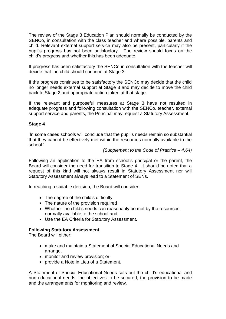The review of the Stage 3 Education Plan should normally be conducted by the SENCo, in consultation with the class teacher and where possible, parents and child. Relevant external support service may also be present, particularly if the pupil's progress has not been satisfactory. The review should focus on the child's progress and whether this has been adequate.

If progress has been satisfactory the SENCo in consultation with the teacher will decide that the child should continue at Stage 3.

If the progress continues to be satisfactory the SENCo may decide that the child no longer needs external support at Stage 3 and may decide to move the child back to Stage 2 and appropriate action taken at that stage.

If the relevant and purposeful measures at Stage 3 have not resulted in adequate progress and following consultation with the SENCo, teacher, external support service and parents, the Principal may request a Statutory Assessment.

### **Stage 4**

'In some cases schools will conclude that the pupil's needs remain so substantial that they cannot be effectively met within the resources normally available to the school.'

*(Supplement to the Code of Practice – 4.64)*

Following an application to the EA from school's principal or the parent, the Board will consider the need for transition to Stage 4. It should be noted that a request of this kind will not always result in Statutory Assessment nor will Statutory Assessment always lead to a Statement of SENs.

In reaching a suitable decision, the Board will consider:

- The degree of the child's difficulty
- The nature of the provision required
- Whether the child's needs can reasonably be met by the resources normally available to the school and
- Use the EA Criteria for Statutory Assessment.

#### **Following Statutory Assessment,**

The Board will either:

- make and maintain a Statement of Special Educational Needs and arrange,
- monitor and review provision; or
- provide a Note in Lieu of a Statement.

A Statement of Special Educational Needs sets out the child's educational and non-educational needs, the objectives to be secured, the provision to be made and the arrangements for monitoring and review.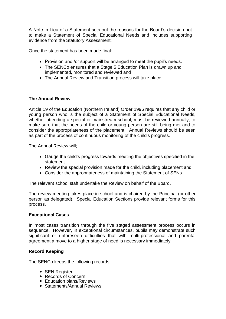A Note in Lieu of a Statement sets out the reasons for the Board's decision not to make a Statement of Special Educational Needs and includes supporting evidence from the Statutory Assessment.

Once the statement has been made final:

- Provision and /or support will be arranged to meet the pupil's needs.
- The SENCo ensures that a Stage 5 Education Plan is drawn up and implemented, monitored and reviewed and
- The Annual Review and Transition process will take place.

## **The Annual Review**

Article 19 of the Education (Northern Ireland) Order 1996 requires that any child or young person who is the subject of a Statement of Special Educational Needs, whether attending a special or mainstream school, must be reviewed annually, to make sure that the needs of the child or young person are still being met and to consider the appropriateness of the placement. Annual Reviews should be seen as part of the process of continuous monitoring of the child's progress.

The Annual Review will;

- Gauge the child's progress towards meeting the objectives specified in the statement.
- Review the special provision made for the child, including placement and
- Consider the appropriateness of maintaining the Statement of SENs.

The relevant school staff undertake the Review on behalf of the Board.

The review meeting takes place in school and is chaired by the Principal (or other person as delegated). Special Education Sections provide relevant forms for this process.

### **Exceptional Cases**

In most cases transition through the five staged assessment process occurs in sequence. However, in exceptional circumstances, pupils may demonstrate such significant or unforeseen difficulties that with multi-professional and parental agreement a move to a higher stage of need is necessary immediately.

### **Record Keeping**

The SENCo keeps the following records:

- SEN Register
- Records of Concern
- Education plans/Reviews
- Statements/Annual Reviews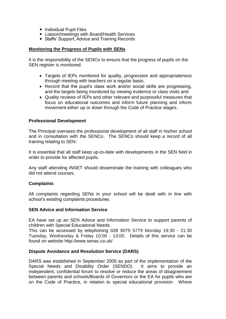- Individual Pupil Files
- Liaison/meetings with Board/Health Services
- Staffs' Support, Advice and Training Records

#### **Monitoring the Progress of Pupils with SENs**

It is the responsibility of the SENCo to ensure that the progress of pupils on the SEN register is monitored.

- Targets of IEPs monitored for quality, progression and appropriateness through meeting with teachers on a regular basis.
- Record that the pupil's class work and/or social skills are progressing, and the targets being monitored by viewing evidence or class visits and
- Quality reviews of IEPs and other relevant and purposeful measures that focus on educational outcomes and inform future planning and inform movement either up or down through the Code of Practice stages.

### **Professional Development**

The Principal oversees the professional development of all staff in his/her school and in consultation with the SENCo. The SENCo should keep a record of all training relating to SEN.

It is essential that all staff keep up-to-date with developments in the SEN field in order to provide for affected pupils.

Any staff attending INSET should disseminate the training with colleagues who did not attend courses.

### **Complaints**

All complaints regarding SENs in your school will be dealt with in line with school's existing complaints procedures.

#### **SEN Advice and Information Service**

EA have set up an SEN Advice and Information Service to support parents of children with Special Educational Needs.

This can be accessed by telephoning 028 9079 5779 Monday 19:30 - 21:30 Tuesday, Wednesday & Friday 10:00 - 13:00. Details of this service can be found on website http://www.senac.co.uk/

### **Dispute Avoidance and Resolution Service (DARS)**

DARS was established in September 2005 as part of the implementation of the Special Needs and Disability Order (SENDO). It aims to provide an independent, confidential forum to resolve or reduce the areas of disagreement between parents and schools/Boards of Governors or the EA for pupils who are on the Code of Practice, in relation to special educational provision. Where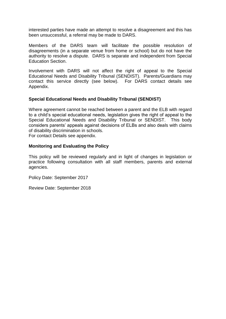interested parties have made an attempt to resolve a disagreement and this has been unsuccessful, a referral may be made to DARS.

Members of the DARS team will facilitate the possible resolution of disagreements (in a separate venue from home or school) but do not have the authority to resolve a dispute. DARS is separate and independent from Special Education Section.

Involvement with DARS will not affect the right of appeal to the Special Educational Needs and Disability Tribunal (SENDIST). Parents/Guardians may contact this service directly (see below). For DARS contact details see Appendix.

### **Special Educational Needs and Disability Tribunal (SENDIST)**

Where agreement cannot be reached between a parent and the ELB with regard to a child's special educational needs, legislation gives the right of appeal to the Special Educational Needs and Disability Tribunal or SENDIST. This body considers parents' appeals against decisions of ELBs and also deals with claims of disability discrimination in schools.

For contact Details see appendix.

#### **Monitoring and Evaluating the Policy**

This policy will be reviewed regularly and in light of changes in legislation or practice following consultation with all staff members, parents and external agencies.

Policy Date: September 2017

Review Date: September 2018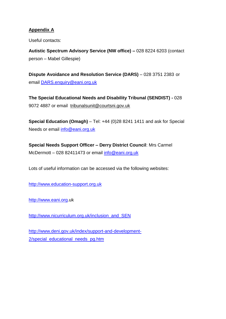# **Appendix A**

Useful contacts:

**Autistic Spectrum Advisory Service (NW office) –** 028 8224 6203 (contact person – Mabel Gillespie)

**Dispute Avoidance and Resolution Service (DARS)** – 028 3751 2383 or email [DARS.enquiry@eani.org.uk](mailto:DARS.enquiry@eani.org.uk)

**The Special Educational Needs and Disability Tribunal (SENDIST) -** 028 9072 4887 or email [tribunalsunit@courtsni.gov.uk](mailto:tribunalsunit@courtsni.gov.uk)

**Special Education (Omagh)** – Tel: +44 (0)28 8241 1411 and ask for Special Needs or email [info@eani.org.uk](mailto:info@eani.org.uk)

**Special Needs Support Officer – Derry District Council**: Mrs Carmel McDermott – 028 82411473 or email [info@eani.org.uk](mailto:info@eani.org.uk)

Lots of useful information can be accessed via the following websites:

[http://www.education-support.org.uk](http://www.education-support.org.uk/)

[http://www.eani.org.](http://www.eani.org/)uk

[http://www.nicurriculum.org.uk/inclusion\\_and\\_SEN](http://www.nicurriculum.org.uk/inclusion_and_SEN)

[http://www.deni.gov.uk/index/support-and-development-](http://www.deni.gov.uk/index/support-and-development-2/special_educational_needs_pg.htm)2/special educational needs pg.htm